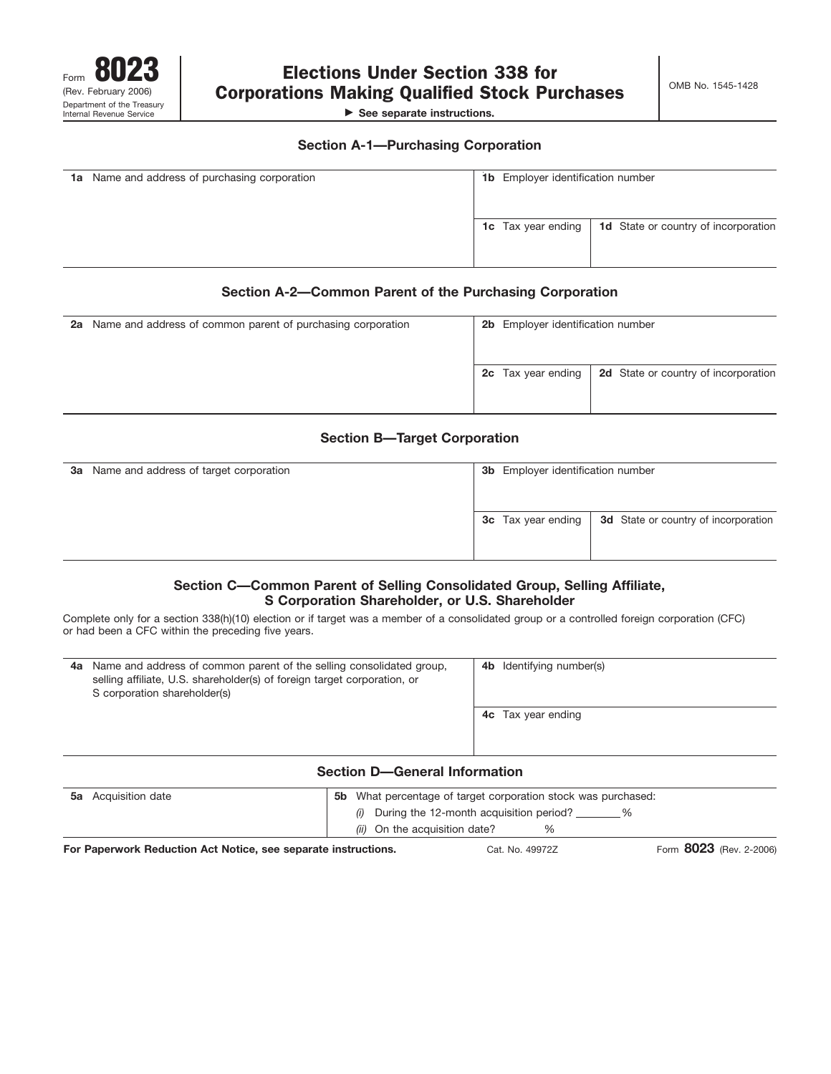

**See separate instructions.**

### **Section A-1—Purchasing Corporation**

| <b>1a</b> Name and address of purchasing corporation | <b>1b</b> Employer identification number |                                             |
|------------------------------------------------------|------------------------------------------|---------------------------------------------|
|                                                      | <b>1c</b> Tax year ending                | <b>1d</b> State or country of incorporation |

## **Section A-2—Common Parent of the Purchasing Corporation**

| 2a Name and address of common parent of purchasing corporation | 2b Employer identification number |                                      |
|----------------------------------------------------------------|-----------------------------------|--------------------------------------|
|                                                                | <b>2c</b> Tax year ending         | 2d State or country of incorporation |

# **Section B—Target Corporation**

| <b>3a</b> Name and address of target corporation | <b>3b</b> Employer identification number |                                             |
|--------------------------------------------------|------------------------------------------|---------------------------------------------|
|                                                  |                                          |                                             |
|                                                  | <b>3c</b> Tax year ending                | <b>3d</b> State or country of incorporation |
|                                                  |                                          |                                             |
|                                                  |                                          |                                             |

## **Section C—Common Parent of Selling Consolidated Group, Selling Affiliate, S Corporation Shareholder, or U.S. Shareholder**

Complete only for a section 338(h)(10) election or if target was a member of a consolidated group or a controlled foreign corporation (CFC) or had been a CFC within the preceding five years.

| 4a | Name and address of common parent of the selling consolidated group,<br>selling affiliate, U.S. shareholder(s) of foreign target corporation, or<br>S corporation shareholder(s) |                                      |  | <b>4b</b> Identifying number(s) |
|----|----------------------------------------------------------------------------------------------------------------------------------------------------------------------------------|--------------------------------------|--|---------------------------------|
|    |                                                                                                                                                                                  |                                      |  | <b>4c</b> Tax year ending       |
|    |                                                                                                                                                                                  | <b>Section D-General Information</b> |  |                                 |
| 5а | What percentage of target corporation stock was purchased:<br>Acquisition date<br>5b.                                                                                            |                                      |  |                                 |

| 使いて あいしょう しんぱいあんぱ しんせい とほんれ あしがい こうしょう しょうしん けいせいしんけいしゃ |                                                             |  | $0000 - 2000$ |  |
|---------------------------------------------------------|-------------------------------------------------------------|--|---------------|--|
|                                                         | (ii) On the acquisition date?                               |  |               |  |
|                                                         | $(i)$ During the 12-month acquisition period? $\frac{1}{i}$ |  |               |  |

**For Paperwork Reduction Act Notice, see separate instructions.** Cat. No. 49972Z Form 8023 (Rev. 2-2006)